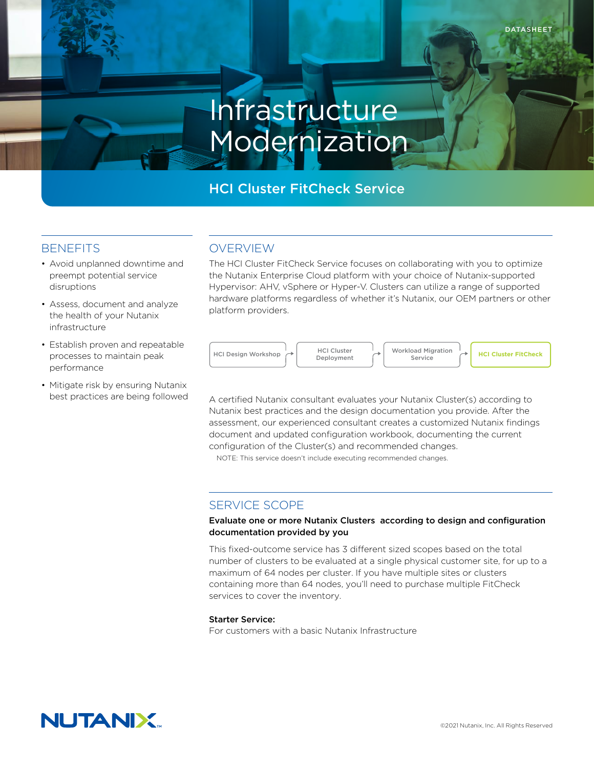# Infrastructure Modernization

# HCI Cluster FitCheck Service

## **BENEFITS**

- Avoid unplanned downtime and preempt potential service disruptions
- Assess, document and analyze the health of your Nutanix infrastructure
- Establish proven and repeatable processes to maintain peak performance
- Mitigate risk by ensuring Nutanix best practices are being followed

# OVERVIEW

The HCI Cluster FitCheck Service focuses on collaborating with you to optimize the Nutanix Enterprise Cloud platform with your choice of Nutanix-supported Hypervisor: AHV, vSphere or Hyper-V. Clusters can utilize a range of supported hardware platforms regardless of whether it's Nutanix, our OEM partners or other platform providers.



A certified Nutanix consultant evaluates your Nutanix Cluster(s) according to Nutanix best practices and the design documentation you provide. After the assessment, our experienced consultant creates a customized Nutanix findings document and updated configuration workbook, documenting the current configuration of the Cluster(s) and recommended changes.

NOTE: This service doesn't include executing recommended changes.

## SERVICE SCOPE

#### Evaluate one or more Nutanix Clusters according to design and configuration documentation provided by you

This fixed-outcome service has 3 different sized scopes based on the total number of clusters to be evaluated at a single physical customer site, for up to a maximum of 64 nodes per cluster. If you have multiple sites or clusters containing more than 64 nodes, you'll need to purchase multiple FitCheck services to cover the inventory.

## Starter Service:

For customers with a basic Nutanix Infrastructure

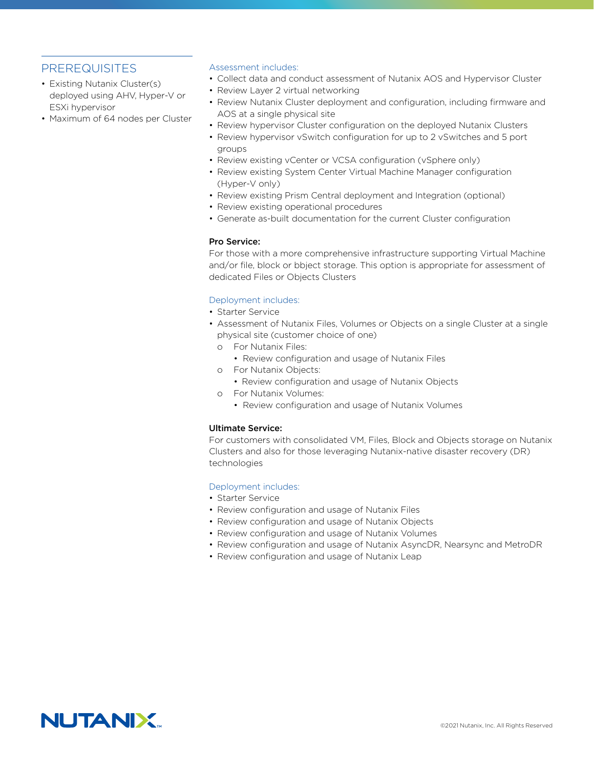## PREREQUISITES

- Existing Nutanix Cluster(s) deployed using AHV, Hyper-V or ESXi hypervisor
- Maximum of 64 nodes per Cluster

#### Assessment includes:

- Collect data and conduct assessment of Nutanix AOS and Hypervisor Cluster
- Review Layer 2 virtual networking
- Review Nutanix Cluster deployment and configuration, including firmware and AOS at a single physical site
- Review hypervisor Cluster configuration on the deployed Nutanix Clusters
- Review hypervisor vSwitch configuration for up to 2 vSwitches and 5 port groups
- Review existing vCenter or VCSA configuration (vSphere only)
- Review existing System Center Virtual Machine Manager configuration (Hyper-V only)
- Review existing Prism Central deployment and Integration (optional)
- Review existing operational procedures
- Generate as-built documentation for the current Cluster configuration

#### Pro Service:

For those with a more comprehensive infrastructure supporting Virtual Machine and/or file, block or bbject storage. This option is appropriate for assessment of dedicated Files or Objects Clusters

## Deployment includes:

- Starter Service
- Assessment of Nutanix Files, Volumes or Objects on a single Cluster at a single physical site (customer choice of one)
	- o For Nutanix Files:
		- Review configuration and usage of Nutanix Files
	- o For Nutanix Objects:
		- Review configuration and usage of Nutanix Objects
	- o For Nutanix Volumes:
		- Review configuration and usage of Nutanix Volumes

## Ultimate Service:

For customers with consolidated VM, Files, Block and Objects storage on Nutanix Clusters and also for those leveraging Nutanix-native disaster recovery (DR) technologies

## Deployment includes:

- Starter Service
- Review configuration and usage of Nutanix Files
- Review configuration and usage of Nutanix Objects
- Review configuration and usage of Nutanix Volumes
- Review configuration and usage of Nutanix AsyncDR, Nearsync and MetroDR
- Review configuration and usage of Nutanix Leap